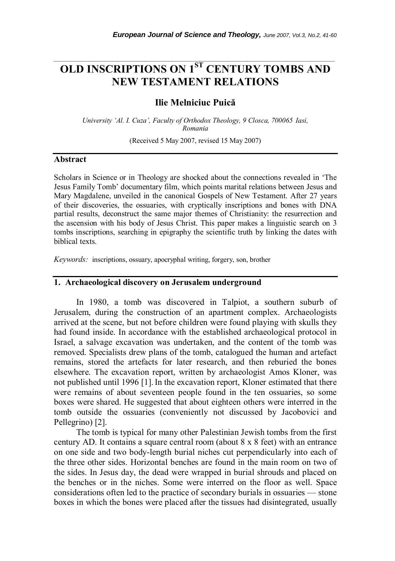# **OLD INSCRIPTIONS ON 1ST CENTURY TOMBS AND NEW TESTAMENT RELATIONS**

*\_\_\_\_\_\_\_\_\_\_\_\_\_\_\_\_\_\_\_\_\_\_\_\_\_\_\_\_\_\_\_\_\_\_\_\_\_\_\_\_\_\_\_\_\_\_\_\_\_\_\_\_\_\_\_\_\_\_\_\_\_\_\_\_\_\_\_\_\_\_\_* 

## **Ilie Melniciuc Puică**

*University 'Al. I. Cuza', Faculty of Orthodox Theology, 9 Closca, 700065 Iasi, Romania* 

(Received 5 May 2007, revised 15 May 2007)

#### **Abstract**

Scholars in Science or in Theology are shocked about the connections revealed in 'The Jesus Family Tomb' documentary film, which points marital relations between Jesus and Mary Magdalene, unveiled in the canonical Gospels of New Testament. After 27 years of their discoveries, the ossuaries, with cryptically inscriptions and bones with DNA partial results, deconstruct the same major themes of Christianity: the resurrection and the ascension with his body of Jesus Christ. This paper makes a linguistic search on 3 tombs inscriptions, searching in epigraphy the scientific truth by linking the dates with biblical texts.

*Keywords:* inscriptions, ossuary, apocryphal writing, forgery, son, brother

## **1. Archaeological discovery on Jerusalem underground**

 In 1980, a tomb was discovered in Talpiot, a southern suburb of Jerusalem, during the construction of an apartment complex. Archaeologists arrived at the scene, but not before children were found playing with skulls they had found inside. In accordance with the established archaeological protocol in Israel, a salvage excavation was undertaken, and the content of the tomb was removed. Specialists drew plans of the tomb, catalogued the human and artefact remains, stored the artefacts for later research, and then reburied the bones elsewhere. The excavation report, written by archaeologist Amos Kloner, was not published until 1996 [1].In the excavation report, Kloner estimated that there were remains of about seventeen people found in the ten ossuaries, so some boxes were shared. He suggested that about eighteen others were interred in the tomb outside the ossuaries (conveniently not discussed by Jacobovici and Pellegrino) [2].

 The tomb is typical for many other Palestinian Jewish tombs from the first century AD. It contains a square central room (about 8 x 8 feet) with an entrance on one side and two body-length burial niches cut perpendicularly into each of the three other sides. Horizontal benches are found in the main room on two of the sides. In Jesus day, the dead were wrapped in burial shrouds and placed on the benches or in the niches. Some were interred on the floor as well. Space considerations often led to the practice of secondary burials in ossuaries — stone boxes in which the bones were placed after the tissues had disintegrated, usually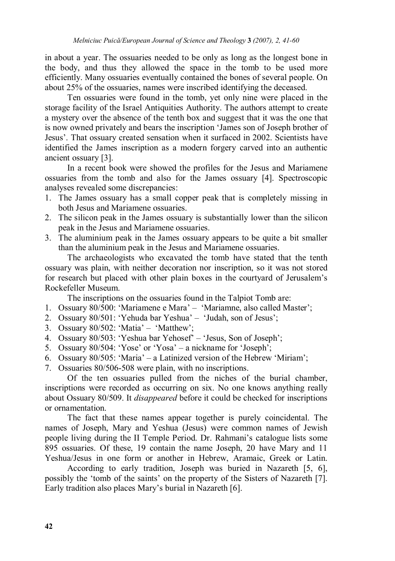in about a year. The ossuaries needed to be only as long as the longest bone in the body, and thus they allowed the space in the tomb to be used more efficiently. Many ossuaries eventually contained the bones of several people. On about 25% of the ossuaries, names were inscribed identifying the deceased.

Ten ossuaries were found in the tomb, yet only nine were placed in the storage facility of the Israel Antiquities Authority. The authors attempt to create a mystery over the absence of the tenth box and suggest that it was the one that is now owned privately and bears the inscription 'James son of Joseph brother of Jesus'. That ossuary created sensation when it surfaced in 2002. Scientists have identified the James inscription as a modern forgery carved into an authentic ancient ossuary [3].

In a recent book were showed the profiles for the Jesus and Mariamene ossuaries from the tomb and also for the James ossuary [4]. Spectroscopic analyses revealed some discrepancies:

- 1. The James ossuary has a small copper peak that is completely missing in both Jesus and Mariamene ossuaries.
- 2. The silicon peak in the James ossuary is substantially lower than the silicon peak in the Jesus and Mariamene ossuaries.
- 3. The aluminium peak in the James ossuary appears to be quite a bit smaller than the aluminium peak in the Jesus and Mariamene ossuaries.

 The archaeologists who excavated the tomb have stated that the tenth ossuary was plain, with neither decoration nor inscription, so it was not stored for research but placed with other plain boxes in the courtyard of Jerusalem's Rockefeller Museum.

The inscriptions on the ossuaries found in the Talpiot Tomb are:

- 1. Ossuary 80/500: 'Mariamene e Mara' 'Mariamne, also called Master';
- 2. Ossuary 80/501: 'Yehuda bar Yeshua' 'Judah, son of Jesus';
- 3. Ossuary 80/502: 'Matia' 'Matthew';
- 4. Ossuary 80/503: 'Yeshua bar Yehosef' 'Jesus, Son of Joseph';
- 5. Ossuary 80/504: 'Yose' or 'Yosa' a nickname for 'Joseph';
- 6. Ossuary 80/505: 'Maria' a Latinized version of the Hebrew 'Miriam';
- 7. Ossuaries 80/506-508 were plain, with no inscriptions.

 Of the ten ossuaries pulled from the niches of the burial chamber, inscriptions were recorded as occurring on six. No one knows anything really about Ossuary 80/509. It *disappeared* before it could be checked for inscriptions or ornamentation.

 The fact that these names appear together is purely coincidental. The names of Joseph, Mary and Yeshua (Jesus) were common names of Jewish people living during the II Temple Period. Dr. Rahmani's catalogue lists some 895 ossuaries. Of these, 19 contain the name Joseph, 20 have Mary and 11 Yeshua/Jesus in one form or another in Hebrew, Aramaic, Greek or Latin.

 According to early tradition, Joseph was buried in Nazareth [5, 6], possibly the 'tomb of the saints' on the property of the Sisters of Nazareth [7]. Early tradition also places Mary's burial in Nazareth [6].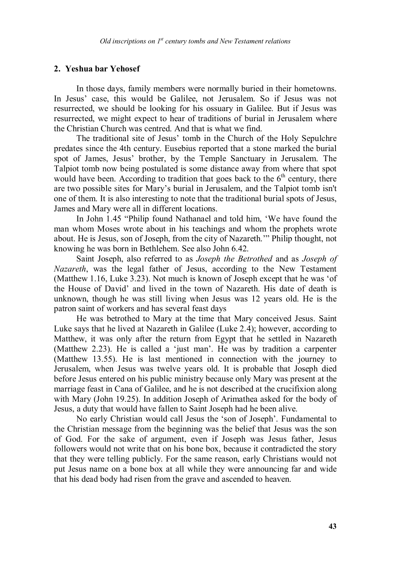### **2. Yeshua bar Yehosef**

 In those days, family members were normally buried in their hometowns. In Jesus' case, this would be Galilee, not Jerusalem. So if Jesus was not resurrected, we should be looking for his ossuary in Galilee. But if Jesus was resurrected, we might expect to hear of traditions of burial in Jerusalem where the Christian Church was centred. And that is what we find.

 The traditional site of Jesus' tomb in the Church of the Holy Sepulchre predates since the 4th century. Eusebius reported that a stone marked the burial spot of James, Jesus' brother, by the Temple Sanctuary in Jerusalem. The Talpiot tomb now being postulated is some distance away from where that spot would have been. According to tradition that goes back to the  $6<sup>th</sup>$  century, there are two possible sites for Mary's burial in Jerusalem, and the Talpiot tomb isn't one of them. It is also interesting to note that the traditional burial spots of Jesus, James and Mary were all in different locations.

 In John 1.45 "Philip found Nathanael and told him, 'We have found the man whom Moses wrote about in his teachings and whom the prophets wrote about. He is Jesus, son of Joseph, from the city of Nazareth.'" Philip thought, not knowing he was born in Bethlehem. See also John 6.42.

 Saint Joseph, also referred to as *Joseph the Betrothed* and as *Joseph of Nazareth*, was the legal father of Jesus, according to the New Testament (Matthew 1.16, Luke 3.23). Not much is known of Joseph except that he was 'of the House of David' and lived in the town of Nazareth. His date of death is unknown, though he was still living when Jesus was 12 years old. He is the patron saint of workers and has several feast days

 He was betrothed to Mary at the time that Mary conceived Jesus. Saint Luke says that he lived at Nazareth in Galilee (Luke 2.4); however, according to Matthew, it was only after the return from Egypt that he settled in Nazareth (Matthew 2.23). He is called a 'just man'. He was by tradition a carpenter (Matthew 13.55). He is last mentioned in connection with the journey to Jerusalem, when Jesus was twelve years old. It is probable that Joseph died before Jesus entered on his public ministry because only Mary was present at the marriage feast in Cana of Galilee, and he is not described at the crucifixion along with Mary (John 19.25). In addition Joseph of Arimathea asked for the body of Jesus, a duty that would have fallen to Saint Joseph had he been alive.

 No early Christian would call Jesus the 'son of Joseph'. Fundamental to the Christian message from the beginning was the belief that Jesus was the son of God. For the sake of argument, even if Joseph was Jesus father, Jesus followers would not write that on his bone box, because it contradicted the story that they were telling publicly. For the same reason, early Christians would not put Jesus name on a bone box at all while they were announcing far and wide that his dead body had risen from the grave and ascended to heaven.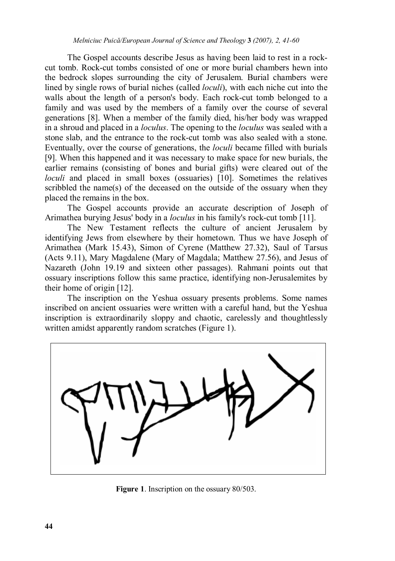The Gospel accounts describe Jesus as having been laid to rest in a rockcut tomb. Rock-cut tombs consisted of one or more burial chambers hewn into the bedrock slopes surrounding the city of Jerusalem. Burial chambers were lined by single rows of burial niches (called *loculi*), with each niche cut into the walls about the length of a person's body. Each rock-cut tomb belonged to a family and was used by the members of a family over the course of several generations [8]. When a member of the family died, his/her body was wrapped in a shroud and placed in a *loculus*. The opening to the *loculus* was sealed with a stone slab, and the entrance to the rock-cut tomb was also sealed with a stone. Eventually, over the course of generations, the *loculi* became filled with burials [9]. When this happened and it was necessary to make space for new burials, the earlier remains (consisting of bones and burial gifts) were cleared out of the *loculi* and placed in small boxes (ossuaries) [10]. Sometimes the relatives scribbled the name(s) of the deceased on the outside of the ossuary when they placed the remains in the box.

 The Gospel accounts provide an accurate description of Joseph of Arimathea burying Jesus' body in a *loculus* in his family's rock-cut tomb [11].

 The New Testament reflects the culture of ancient Jerusalem by identifying Jews from elsewhere by their hometown. Thus we have Joseph of Arimathea (Mark 15.43), Simon of Cyrene (Matthew 27.32), Saul of Tarsus (Acts 9.11), Mary Magdalene (Mary of Magdala; Matthew 27.56), and Jesus of Nazareth (John 19.19 and sixteen other passages). Rahmani points out that ossuary inscriptions follow this same practice, identifying non-Jerusalemites by their home of origin [12].

 The inscription on the Yeshua ossuary presents problems. Some names inscribed on ancient ossuaries were written with a careful hand, but the Yeshua inscription is extraordinarily sloppy and chaotic, carelessly and thoughtlessly written amidst apparently random scratches (Figure 1).



**Figure 1**. Inscription on the ossuary 80/503.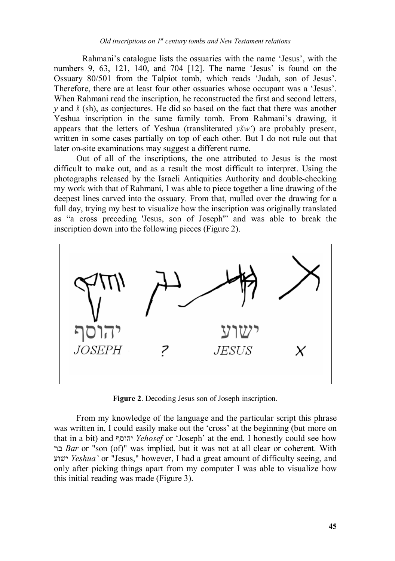Rahmani's catalogue lists the ossuaries with the name 'Jesus', with the numbers 9, 63, 121, 140, and 704 [12]. The name 'Jesus' is found on the Ossuary 80/501 from the Talpiot tomb, which reads 'Judah, son of Jesus'. Therefore, there are at least four other ossuaries whose occupant was a 'Jesus'. When Rahmani read the inscription, he reconstructed the first and second letters. *y* and *š* (sh), as conjectures. He did so based on the fact that there was another Yeshua inscription in the same family tomb. From Rahmani's drawing, it appears that the letters of Yeshua (transliterated *yšw'*) are probably present, written in some cases partially on top of each other. But I do not rule out that later on-site examinations may suggest a different name.

 Out of all of the inscriptions, the one attributed to Jesus is the most difficult to make out, and as a result the most difficult to interpret. Using the photographs released by the Israeli Antiquities Authority and double-checking my work with that of Rahmani, I was able to piece together a line drawing of the deepest lines carved into the ossuary. From that, mulled over the drawing for a full day, trying my best to visualize how the inscription was originally translated as "a cross preceding 'Jesus, son of Joseph'" and was able to break the inscription down into the following pieces (Figure 2).



**Figure 2**. Decoding Jesus son of Joseph inscription.

 From my knowledge of the language and the particular script this phrase was written in, I could easily make out the 'cross' at the beginning (but more on that in a bit) and יהוסף *Yehosef* or 'Joseph' at the end. I honestly could see how בר *Bar* or "son (of)" was implied, but it was not at all clear or coherent. With ישוע *Yeshua`* or "Jesus," however, I had a great amount of difficulty seeing, and only after picking things apart from my computer I was able to visualize how this initial reading was made (Figure 3).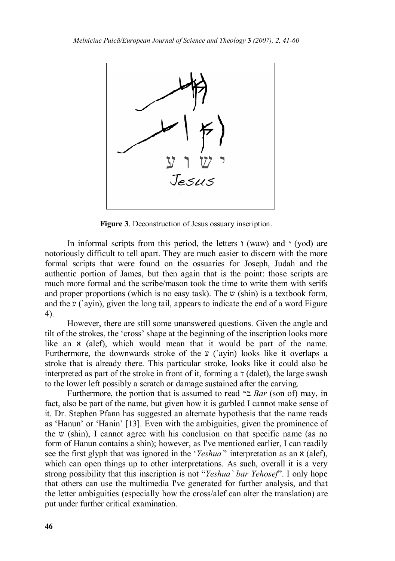

**Figure 3**. Deconstruction of Jesus ossuary inscription.

In informal scripts from this period, the letters  $\iota$  (waw) and  $\iota$  (yod) are notoriously difficult to tell apart. They are much easier to discern with the more formal scripts that were found on the ossuaries for Joseph, Judah and the authentic portion of James, but then again that is the point: those scripts are much more formal and the scribe/mason took the time to write them with serifs and proper proportions (which is no easy task). The  $v$  (shin) is a textbook form, and the  $\gamma$  (ayin), given the long tail, appears to indicate the end of a word Figure 4).

However, there are still some unanswered questions. Given the angle and tilt of the strokes, the 'cross' shape at the beginning of the inscription looks more like an  $x$  (alef), which would mean that it would be part of the name. Furthermore, the downwards stroke of the  $y$  ('ayin) looks like it overlaps a stroke that is already there. This particular stroke, looks like it could also be interpreted as part of the stroke in front of it, forming a  $\tau$  (dalet), the large swash to the lower left possibly a scratch or damage sustained after the carving.

Furthermore, the portion that is assumed to read בר *Bar* (son of) may, in fact, also be part of the name, but given how it is garbled I cannot make sense of it. Dr. Stephen Pfann has suggested an alternate hypothesis that the name reads as 'Hanun' or 'Hanin' [13]. Even with the ambiguities, given the prominence of the  $\nu$  (shin), I cannot agree with his conclusion on that specific name (as no form of Hanun contains a shin); however, as I've mentioned earlier, I can readily see the first glyph that was ignored in the '*Yeshua*' interpretation as an  $\alpha$  (alef), which can open things up to other interpretations. As such, overall it is a very strong possibility that this inscription is not "*Yeshua` bar Yehosef*". I only hope that others can use the multimedia I've generated for further analysis, and that the letter ambiguities (especially how the cross/alef can alter the translation) are put under further critical examination.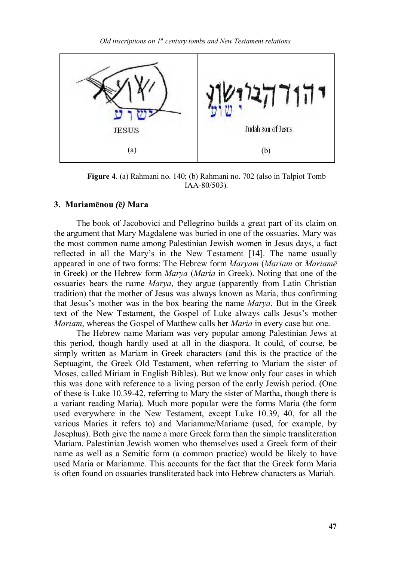

**Figure 4**. (a) Rahmani no. 140; (b) Rahmani no. 702 (also in Talpiot Tomb IAA-80/503).

#### **3. Mariamēnou** *(***ē***)* **Mara**

 The book of Jacobovici and Pellegrino builds a great part of its claim on the argument that Mary Magdalene was buried in one of the ossuaries. Mary was the most common name among Palestinian Jewish women in Jesus days, a fact reflected in all the Mary's in the New Testament [14]. The name usually appeared in one of two forms: The Hebrew form *Maryam* (*Mariam* or *Mariamē* in Greek) or the Hebrew form *Marya* (*Maria* in Greek). Noting that one of the ossuaries bears the name *Marya*, they argue (apparently from Latin Christian tradition) that the mother of Jesus was always known as Maria, thus confirming that Jesus's mother was in the box bearing the name *Marya*. But in the Greek text of the New Testament, the Gospel of Luke always calls Jesus's mother *Mariam*, whereas the Gospel of Matthew calls her *Maria* in every case but one.

The Hebrew name Mariam was very popular among Palestinian Jews at this period, though hardly used at all in the diaspora. It could, of course, be simply written as Mariam in Greek characters (and this is the practice of the Septuagint, the Greek Old Testament, when referring to Mariam the sister of Moses, called Miriam in English Bibles). But we know only four cases in which this was done with reference to a living person of the early Jewish period. (One of these is Luke 10.39-42, referring to Mary the sister of Martha, though there is a variant reading Maria). Much more popular were the forms Maria (the form used everywhere in the New Testament, except Luke 10.39, 40, for all the various Maries it refers to) and Mariamme/Mariame (used, for example, by Josephus). Both give the name a more Greek form than the simple transliteration Mariam. Palestinian Jewish women who themselves used a Greek form of their name as well as a Semitic form (a common practice) would be likely to have used Maria or Mariamme. This accounts for the fact that the Greek form Maria is often found on ossuaries transliterated back into Hebrew characters as Mariah.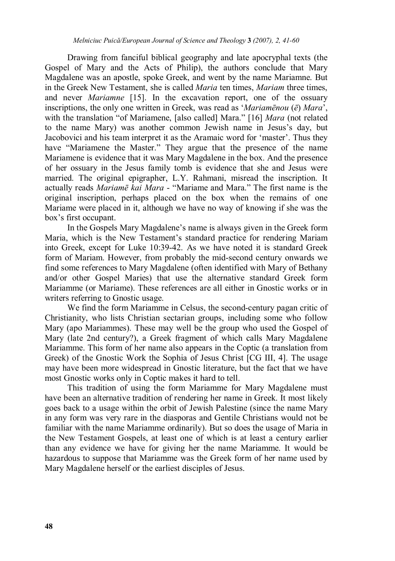Drawing from fanciful biblical geography and late apocryphal texts (the Gospel of Mary and the Acts of Philip), the authors conclude that Mary Magdalene was an apostle, spoke Greek, and went by the name Mariamne. But in the Greek New Testament, she is called *Maria* ten times, *Mariam* three times, and never *Mariamne* [15]. In the excavation report, one of the ossuary inscriptions, the only one written in Greek, was read as '*Mariamēnou* (*ē*) *Mara*', with the translation "of Mariamene, [also called] Mara." [16] *Mara* (not related to the name Mary) was another common Jewish name in Jesus's day, but Jacobovici and his team interpret it as the Aramaic word for 'master'. Thus they have "Mariamene the Master." They argue that the presence of the name Mariamene is evidence that it was Mary Magdalene in the box. And the presence of her ossuary in the Jesus family tomb is evidence that she and Jesus were married. The original epigrapher, L.Y. Rahmani, misread the inscription. It actually reads *Mariamē kai Mara* - "Mariame and Mara." The first name is the original inscription, perhaps placed on the box when the remains of one Mariame were placed in it, although we have no way of knowing if she was the box's first occupant.

 In the Gospels Mary Magdalene's name is always given in the Greek form Maria, which is the New Testament's standard practice for rendering Mariam into Greek, except for Luke 10:39-42. As we have noted it is standard Greek form of Mariam. However, from probably the mid-second century onwards we find some references to Mary Magdalene (often identified with Mary of Bethany and/or other Gospel Maries) that use the alternative standard Greek form Mariamme (or Mariame). These references are all either in Gnostic works or in writers referring to Gnostic usage.

 We find the form Mariamme in Celsus, the second-century pagan critic of Christianity, who lists Christian sectarian groups, including some who follow Mary (apo Mariammes). These may well be the group who used the Gospel of Mary (late 2nd century?), a Greek fragment of which calls Mary Magdalene Mariamme. This form of her name also appears in the Coptic (a translation from Greek) of the Gnostic Work the Sophia of Jesus Christ [CG III, 4]. The usage may have been more widespread in Gnostic literature, but the fact that we have most Gnostic works only in Coptic makes it hard to tell.

 This tradition of using the form Mariamme for Mary Magdalene must have been an alternative tradition of rendering her name in Greek. It most likely goes back to a usage within the orbit of Jewish Palestine (since the name Mary in any form was very rare in the diasporas and Gentile Christians would not be familiar with the name Mariamme ordinarily). But so does the usage of Maria in the New Testament Gospels, at least one of which is at least a century earlier than any evidence we have for giving her the name Mariamme. It would be hazardous to suppose that Mariamme was the Greek form of her name used by Mary Magdalene herself or the earliest disciples of Jesus.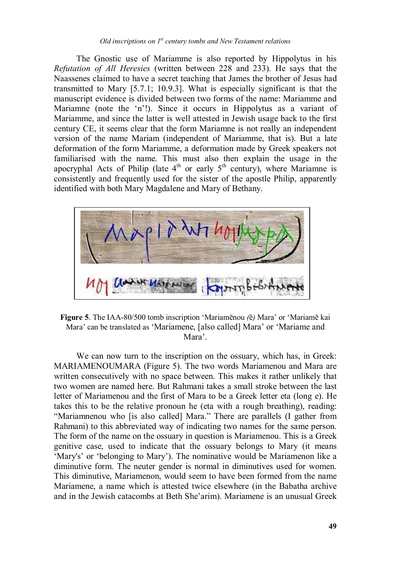#### *Old inscriptions on 1st century tombs and New Testament relations*

 The Gnostic use of Mariamme is also reported by Hippolytus in his *Refutation of All Heresies* (written between 228 and 233). He says that the Naassenes claimed to have a secret teaching that James the brother of Jesus had transmitted to Mary [5.7.1; 10.9.3]. What is especially significant is that the manuscript evidence is divided between two forms of the name: Mariamme and Mariamne (note the 'n'!). Since it occurs in Hippolytus as a variant of Mariamme, and since the latter is well attested in Jewish usage back to the first century CE, it seems clear that the form Mariamne is not really an independent version of the name Mariam (independent of Mariamme, that is). But a late deformation of the form Mariamme, a deformation made by Greek speakers not familiarised with the name. This must also then explain the usage in the apocryphal Acts of Philip (late  $4<sup>th</sup>$  or early  $5<sup>th</sup>$  century), where Mariamne is consistently and frequently used for the sister of the apostle Philip, apparently identified with both Mary Magdalene and Mary of Bethany.



**Figure 5**. The IAA-80/500 tomb inscription 'Mariamēnou *(*ē*)* Mara' or 'Mariamē kai Mara' can be translated as 'Mariamene, [also called] Mara' or 'Mariame and Mara'.

 We can now turn to the inscription on the ossuary, which has, in Greek: MARIAMENOUMARA (Figure 5). The two words Mariamenou and Mara are written consecutively with no space between. This makes it rather unlikely that two women are named here. But Rahmani takes a small stroke between the last letter of Mariamenou and the first of Mara to be a Greek letter eta (long e). He takes this to be the relative pronoun he (eta with a rough breathing), reading: "Mariamnenou who [is also called] Mara." There are parallels (I gather from Rahmani) to this abbreviated way of indicating two names for the same person. The form of the name on the ossuary in question is Mariamenou. This is a Greek genitive case, used to indicate that the ossuary belongs to Mary (it means 'Mary's' or 'belonging to Mary'). The nominative would be Mariamenon like a diminutive form. The neuter gender is normal in diminutives used for women. This diminutive, Mariamenon, would seem to have been formed from the name Mariamene, a name which is attested twice elsewhere (in the Babatha archive and in the Jewish catacombs at Beth She'arim). Mariamene is an unusual Greek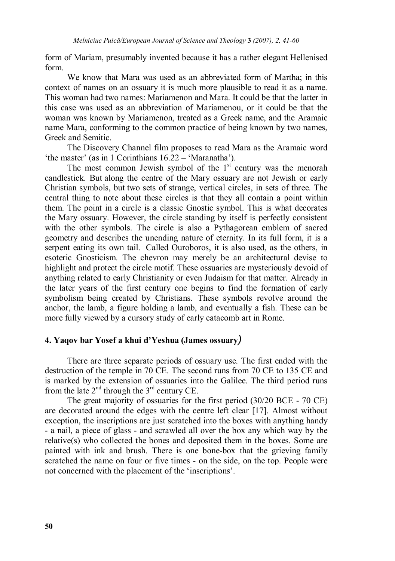form of Mariam, presumably invented because it has a rather elegant Hellenised form.

 We know that Mara was used as an abbreviated form of Martha; in this context of names on an ossuary it is much more plausible to read it as a name. This woman had two names: Mariamenon and Mara. It could be that the latter in this case was used as an abbreviation of Mariamenou, or it could be that the woman was known by Mariamenon, treated as a Greek name, and the Aramaic name Mara, conforming to the common practice of being known by two names, Greek and Semitic.

 The Discovery Channel film proposes to read Mara as the Aramaic word 'the master' (as in 1 Corinthians 16.22 – 'Maranatha').

The most common Jewish symbol of the  $1<sup>st</sup>$  century was the menorah candlestick. But along the centre of the Mary ossuary are not Jewish or early Christian symbols, but two sets of strange, vertical circles, in sets of three. The central thing to note about these circles is that they all contain a point within them. The point in a circle is a classic Gnostic symbol. This is what decorates the Mary ossuary. However, the circle standing by itself is perfectly consistent with the other symbols. The circle is also a Pythagorean emblem of sacred geometry and describes the unending nature of eternity. In its full form, it is a serpent eating its own tail. Called Ouroboros, it is also used, as the others, in esoteric Gnosticism. The chevron may merely be an architectural devise to highlight and protect the circle motif. These ossuaries are mysteriously devoid of anything related to early Christianity or even Judaism for that matter. Already in the later years of the first century one begins to find the formation of early symbolism being created by Christians. These symbols revolve around the anchor, the lamb, a figure holding a lamb, and eventually a fish. These can be more fully viewed by a cursory study of early catacomb art in Rome.

#### **4. Yaqov bar Yosef a khui d'Yeshua (James ossuary***)*

There are three separate periods of ossuary use. The first ended with the destruction of the temple in 70 CE. The second runs from 70 CE to 135 CE and is marked by the extension of ossuaries into the Galilee. The third period runs from the late  $2<sup>nd</sup>$  through the  $3<sup>rd</sup>$  century CE.

The great majority of ossuaries for the first period (30/20 BCE - 70 CE) are decorated around the edges with the centre left clear [17]. Almost without exception, the inscriptions are just scratched into the boxes with anything handy - a nail, a piece of glass - and scrawled all over the box any which way by the relative(s) who collected the bones and deposited them in the boxes. Some are painted with ink and brush. There is one bone-box that the grieving family scratched the name on four or five times - on the side, on the top. People were not concerned with the placement of the 'inscriptions'.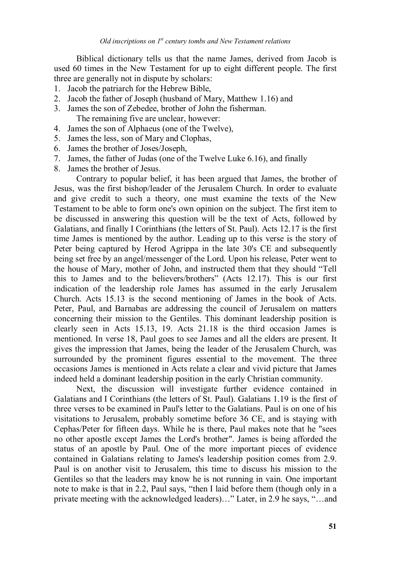Biblical dictionary tells us that the name James, derived from Jacob is used 60 times in the New Testament for up to eight different people. The first three are generally not in dispute by scholars:

- 1. Jacob the patriarch for the Hebrew Bible,
- 2. Jacob the father of Joseph (husband of Mary, Matthew 1.16) and
- 3. James the son of Zebedee, brother of John the fisherman. The remaining five are unclear, however:
- 4. James the son of Alphaeus (one of the Twelve),
- 5. James the less, son of Mary and Clophas,
- 6. James the brother of Joses/Joseph,
- 7. James, the father of Judas (one of the Twelve Luke 6.16), and finally
- 8. James the brother of Jesus.

Contrary to popular belief, it has been argued that James, the brother of Jesus, was the first bishop/leader of the Jerusalem Church. In order to evaluate and give credit to such a theory, one must examine the texts of the New Testament to be able to form one's own opinion on the subject. The first item to be discussed in answering this question will be the text of Acts, followed by Galatians, and finally I Corinthians (the letters of St. Paul). Acts 12.17 is the first time James is mentioned by the author. Leading up to this verse is the story of Peter being captured by Herod Agrippa in the late 30's CE and subsequently being set free by an angel/messenger of the Lord. Upon his release, Peter went to the house of Mary, mother of John, and instructed them that they should "Tell this to James and to the believers/brothers" (Acts 12.17). This is our first indication of the leadership role James has assumed in the early Jerusalem Church. Acts 15.13 is the second mentioning of James in the book of Acts. Peter, Paul, and Barnabas are addressing the council of Jerusalem on matters concerning their mission to the Gentiles. This dominant leadership position is clearly seen in Acts 15.13, 19. Acts 21.18 is the third occasion James is mentioned. In verse 18, Paul goes to see James and all the elders are present. It gives the impression that James, being the leader of the Jerusalem Church, was surrounded by the prominent figures essential to the movement. The three occasions James is mentioned in Acts relate a clear and vivid picture that James indeed held a dominant leadership position in the early Christian community.

Next, the discussion will investigate further evidence contained in Galatians and I Corinthians (the letters of St. Paul). Galatians 1.19 is the first of three verses to be examined in Paul's letter to the Galatians. Paul is on one of his visitations to Jerusalem, probably sometime before 36 CE, and is staying with Cephas/Peter for fifteen days. While he is there, Paul makes note that he "sees no other apostle except James the Lord's brother". James is being afforded the status of an apostle by Paul. One of the more important pieces of evidence contained in Galatians relating to James's leadership position comes from 2.9. Paul is on another visit to Jerusalem, this time to discuss his mission to the Gentiles so that the leaders may know he is not running in vain. One important note to make is that in 2.2, Paul says, "then I laid before them (though only in a private meeting with the acknowledged leaders)…" Later, in 2.9 he says, "…and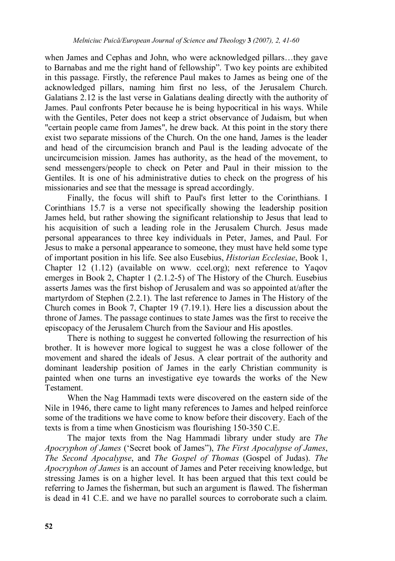when James and Cephas and John, who were acknowledged pillars…they gave to Barnabas and me the right hand of fellowship". Two key points are exhibited in this passage. Firstly, the reference Paul makes to James as being one of the acknowledged pillars, naming him first no less, of the Jerusalem Church. Galatians 2.12 is the last verse in Galatians dealing directly with the authority of James. Paul confronts Peter because he is being hypocritical in his ways. While with the Gentiles, Peter does not keep a strict observance of Judaism, but when "certain people came from James", he drew back. At this point in the story there exist two separate missions of the Church. On the one hand, James is the leader and head of the circumcision branch and Paul is the leading advocate of the uncircumcision mission. James has authority, as the head of the movement, to send messengers/people to check on Peter and Paul in their mission to the Gentiles. It is one of his administrative duties to check on the progress of his missionaries and see that the message is spread accordingly.

Finally, the focus will shift to Paul's first letter to the Corinthians. I Corinthians 15.7 is a verse not specifically showing the leadership position James held, but rather showing the significant relationship to Jesus that lead to his acquisition of such a leading role in the Jerusalem Church. Jesus made personal appearances to three key individuals in Peter, James, and Paul. For Jesus to make a personal appearance to someone, they must have held some type of important position in his life. See also Eusebius, *Historian Ecclesiae*, Book 1, Chapter 12 (1.12) (available on www. ccel.org); next reference to Yaqov emerges in Book 2, Chapter 1 (2.1.2-5) of The History of the Church. Eusebius asserts James was the first bishop of Jerusalem and was so appointed at/after the martyrdom of Stephen (2.2.1). The last reference to James in The History of the Church comes in Book 7, Chapter 19 (7.19.1). Here lies a discussion about the throne of James. The passage continues to state James was the first to receive the episcopacy of the Jerusalem Church from the Saviour and His apostles.

There is nothing to suggest he converted following the resurrection of his brother. It is however more logical to suggest he was a close follower of the movement and shared the ideals of Jesus. A clear portrait of the authority and dominant leadership position of James in the early Christian community is painted when one turns an investigative eye towards the works of the New Testament.

When the Nag Hammadi texts were discovered on the eastern side of the Nile in 1946, there came to light many references to James and helped reinforce some of the traditions we have come to know before their discovery. Each of the texts is from a time when Gnosticism was flourishing 150-350 C.E.

The major texts from the Nag Hammadi library under study are *The Apocryphon of James* ('Secret book of James"), *The First Apocalypse of James*, *The Second Apocalypse*, and *The Gospel of Thomas* (Gospel of Judas). *The Apocryphon of James* is an account of James and Peter receiving knowledge, but stressing James is on a higher level. It has been argued that this text could be referring to James the fisherman, but such an argument is flawed. The fisherman is dead in 41 C.E. and we have no parallel sources to corroborate such a claim.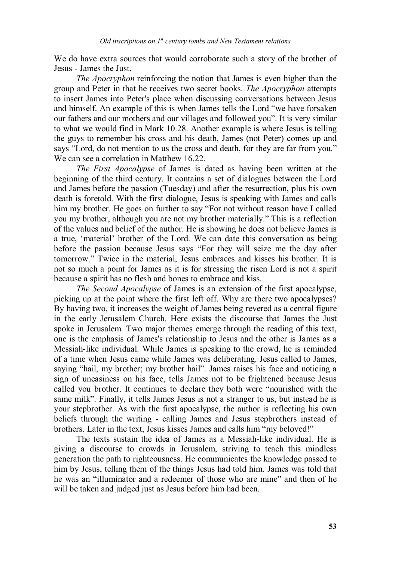We do have extra sources that would corroborate such a story of the brother of Jesus - James the Just.

*The Apocryphon* reinforcing the notion that James is even higher than the group and Peter in that he receives two secret books. *The Apocryphon* attempts to insert James into Peter's place when discussing conversations between Jesus and himself. An example of this is when James tells the Lord "we have forsaken our fathers and our mothers and our villages and followed you". It is very similar to what we would find in Mark 10.28. Another example is where Jesus is telling the guys to remember his cross and his death, James (not Peter) comes up and says "Lord, do not mention to us the cross and death, for they are far from you." We can see a correlation in Matthew 16.22.

*The First Apocalypse* of James is dated as having been written at the beginning of the third century. It contains a set of dialogues between the Lord and James before the passion (Tuesday) and after the resurrection, plus his own death is foretold. With the first dialogue, Jesus is speaking with James and calls him my brother. He goes on further to say "For not without reason have I called you my brother, although you are not my brother materially." This is a reflection of the values and belief of the author. He is showing he does not believe James is a true, 'material' brother of the Lord. We can date this conversation as being before the passion because Jesus says "For they will seize me the day after tomorrow." Twice in the material, Jesus embraces and kisses his brother. It is not so much a point for James as it is for stressing the risen Lord is not a spirit because a spirit has no flesh and bones to embrace and kiss.

*The Second Apocalypse* of James is an extension of the first apocalypse, picking up at the point where the first left off. Why are there two apocalypses? By having two, it increases the weight of James being revered as a central figure in the early Jerusalem Church. Here exists the discourse that James the Just spoke in Jerusalem. Two major themes emerge through the reading of this text, one is the emphasis of James's relationship to Jesus and the other is James as a Messiah-like individual. While James is speaking to the crowd, he is reminded of a time when Jesus came while James was deliberating. Jesus called to James, saying "hail, my brother; my brother hail". James raises his face and noticing a sign of uneasiness on his face, tells James not to be frightened because Jesus called you brother. It continues to declare they both were "nourished with the same milk". Finally, it tells James Jesus is not a stranger to us, but instead he is your stepbrother. As with the first apocalypse, the author is reflecting his own beliefs through the writing - calling James and Jesus stepbrothers instead of brothers. Later in the text, Jesus kisses James and calls him "my beloved!"

The texts sustain the idea of James as a Messiah-like individual. He is giving a discourse to crowds in Jerusalem, striving to teach this mindless generation the path to righteousness. He communicates the knowledge passed to him by Jesus, telling them of the things Jesus had told him. James was told that he was an "illuminator and a redeemer of those who are mine" and then of he will be taken and judged just as Jesus before him had been.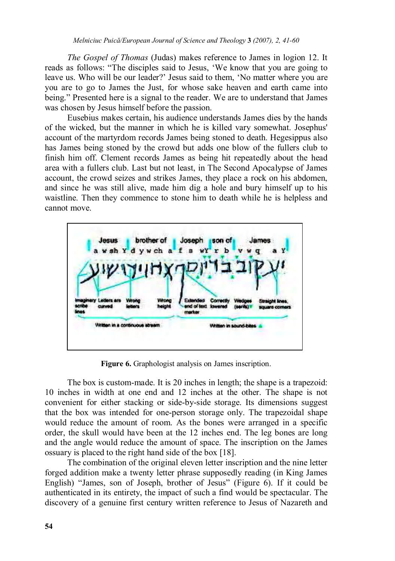*The Gospel of Thomas* (Judas) makes reference to James in logion 12. It reads as follows: "The disciples said to Jesus, 'We know that you are going to leave us. Who will be our leader?' Jesus said to them, 'No matter where you are you are to go to James the Just, for whose sake heaven and earth came into being." Presented here is a signal to the reader. We are to understand that James was chosen by Jesus himself before the passion.

Eusebius makes certain, his audience understands James dies by the hands of the wicked, but the manner in which he is killed vary somewhat. Josephus' account of the martyrdom records James being stoned to death. Hegesippus also has James being stoned by the crowd but adds one blow of the fullers club to finish him off. Clement records James as being hit repeatedly about the head area with a fullers club. Last but not least, in The Second Apocalypse of James account, the crowd seizes and strikes James, they place a rock on his abdomen, and since he was still alive, made him dig a hole and bury himself up to his waistline. Then they commence to stone him to death while he is helpless and cannot move.



Figure 6. Graphologist analysis on James inscription.

The box is custom-made. It is 20 inches in length; the shape is a trapezoid: 10 inches in width at one end and 12 inches at the other. The shape is not convenient for either stacking or side-by-side storage. Its dimensions suggest that the box was intended for one-person storage only. The trapezoidal shape would reduce the amount of room. As the bones were arranged in a specific order, the skull would have been at the 12 inches end. The leg bones are long and the angle would reduce the amount of space. The inscription on the James ossuary is placed to the right hand side of the box [18].

The combination of the original eleven letter inscription and the nine letter forged addition make a twenty letter phrase supposedly reading (in King James English) "James, son of Joseph, brother of Jesus" (Figure 6). If it could be authenticated in its entirety, the impact of such a find would be spectacular. The discovery of a genuine first century written reference to Jesus of Nazareth and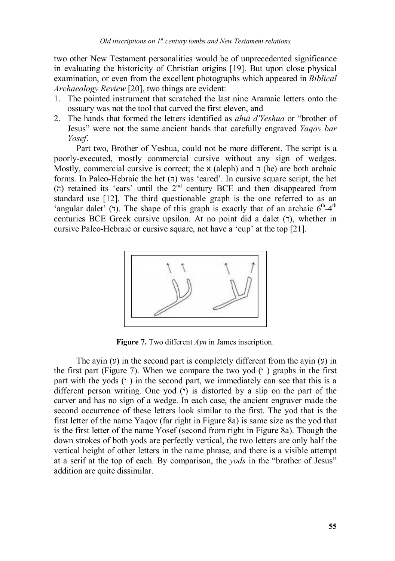two other New Testament personalities would be of unprecedented significance in evaluating the historicity of Christian origins [19]. But upon close physical examination, or even from the excellent photographs which appeared in *Biblical Archaeology Review* [20], two things are evident:

- 1. The pointed instrument that scratched the last nine Aramaic letters onto the ossuary was not the tool that carved the first eleven, and
- 2. The hands that formed the letters identified as *ahui d'Yeshua* or "brother of Jesus" were not the same ancient hands that carefully engraved *Yaqov bar Yosef*.

Part two, Brother of Yeshua, could not be more different. The script is a poorly-executed, mostly commercial cursive without any sign of wedges. Mostly, commercial cursive is correct; the  $\alpha$  (aleph) and  $\pi$  (he) are both archaic forms. In Paleo-Hebraic the het  $(\pi)$  was 'eared'. In cursive square script, the het (ה) retained its 'ears' until the  $2^{nd}$  century BCE and then disappeared from standard use [12]. The third questionable graph is the one referred to as an 'angular dalet' (7). The shape of this graph is exactly that of an archaic  $6<sup>th</sup>-4<sup>th</sup>$ centuries BCE Greek cursive upsilon. At no point did a dalet  $(7)$ , whether in cursive Paleo-Hebraic or cursive square, not have a 'cup' at the top [21].



**Figure 7.** Two different  $Ayn$  in James inscription.

The ayin  $(y)$  in the second part is completely different from the avin  $(y)$  in the first part (Figure 7). When we compare the two yod  $(2)$  graphs in the first part with the yods  $(')$  in the second part, we immediately can see that this is a different person writing. One yod  $(2)$  is distorted by a slip on the part of the carver and has no sign of a wedge. In each case, the ancient engraver made the second occurrence of these letters look similar to the first. The yod that is the first letter of the name Yaqov (far right in Figure 8a) is same size as the yod that is the first letter of the name Yosef (second from right in Figure 8a). Though the down strokes of both yods are perfectly vertical, the two letters are only half the vertical height of other letters in the name phrase, and there is a visible attempt at a serif at the top of each. By comparison, the *yods* in the "brother of Jesus" addition are quite dissimilar.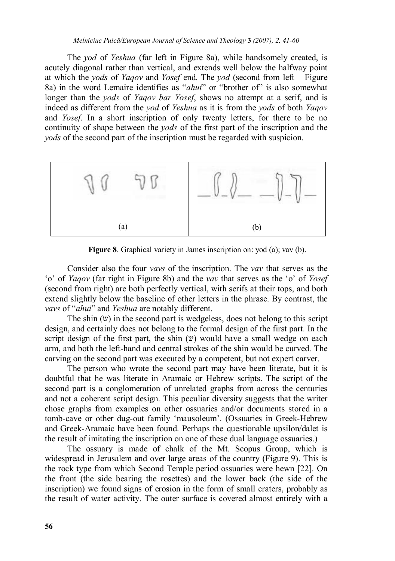The *yod* of *Yeshua* (far left in Figure 8a), while handsomely created, is acutely diagonal rather than vertical, and extends well below the halfway point at which the *yods* of *Yaqov* and *Yosef* end. The *yod* (second from left – Figure 8a) in the word Lemaire identifies as "*ahui*" or "brother of" is also somewhat longer than the *yods* of *Yaqov bar Yosef*, shows no attempt at a serif, and is indeed as different from the *yod* of *Yeshua* as it is from the *yods* of both *Yaqov* and *Yosef*. In a short inscription of only twenty letters, for there to be no continuity of shape between the *yods* of the first part of the inscription and the *yods* of the second part of the inscription must be regarded with suspicion.



**Figure 8**. Graphical variety in James inscription on: yod (a); vav (b).

 Consider also the four *vavs* of the inscription. The *vav* that serves as the 'o' of *Yaqov* (far right in Figure 8b) and the *vav* that serves as the 'o' of *Yosef* (second from right) are both perfectly vertical, with serifs at their tops, and both extend slightly below the baseline of other letters in the phrase. By contrast, the *vavs* of "*ahui*" and *Yeshua* are notably different.

The shin  $(v)$  in the second part is wedgeless, does not belong to this script design, and certainly does not belong to the formal design of the first part. In the script design of the first part, the shin  $(v)$  would have a small wedge on each arm, and both the left-hand and central strokes of the shin would be curved. The carving on the second part was executed by a competent, but not expert carver.

The person who wrote the second part may have been literate, but it is doubtful that he was literate in Aramaic or Hebrew scripts. The script of the second part is a conglomeration of unrelated graphs from across the centuries and not a coherent script design. This peculiar diversity suggests that the writer chose graphs from examples on other ossuaries and/or documents stored in a tomb-cave or other dug-out family 'mausoleum'. (Ossuaries in Greek-Hebrew and Greek-Aramaic have been found. Perhaps the questionable upsilon/dalet is the result of imitating the inscription on one of these dual language ossuaries.)

The ossuary is made of chalk of the Mt. Scopus Group, which is widespread in Jerusalem and over large areas of the country (Figure 9). This is the rock type from which Second Temple period ossuaries were hewn [22]. On the front (the side bearing the rosettes) and the lower back (the side of the inscription) we found signs of erosion in the form of small craters, probably as the result of water activity. The outer surface is covered almost entirely with a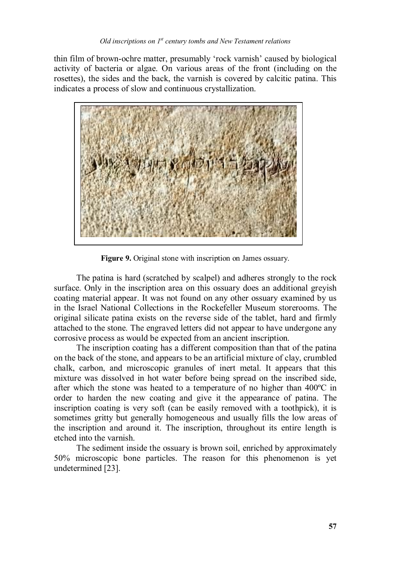thin film of brown-ochre matter, presumably 'rock varnish' caused by biological activity of bacteria or algae. On various areas of the front (including on the rosettes), the sides and the back, the varnish is covered by calcitic patina. This indicates a process of slow and continuous crystallization.



**Figure 9.** Original stone with inscription on James ossuary.

The patina is hard (scratched by scalpel) and adheres strongly to the rock surface. Only in the inscription area on this ossuary does an additional greyish coating material appear. It was not found on any other ossuary examined by us in the Israel National Collections in the Rockefeller Museum storerooms. The original silicate patina exists on the reverse side of the tablet, hard and firmly attached to the stone. The engraved letters did not appear to have undergone any corrosive process as would be expected from an ancient inscription.

The inscription coating has a different composition than that of the patina on the back of the stone, and appears to be an artificial mixture of clay, crumbled chalk, carbon, and microscopic granules of inert metal. It appears that this mixture was dissolved in hot water before being spread on the inscribed side, after which the stone was heated to a temperature of no higher than 400ºC in order to harden the new coating and give it the appearance of patina. The inscription coating is very soft (can be easily removed with a toothpick), it is sometimes gritty but generally homogeneous and usually fills the low areas of the inscription and around it. The inscription, throughout its entire length is etched into the varnish.

The sediment inside the ossuary is brown soil, enriched by approximately 50% microscopic bone particles. The reason for this phenomenon is yet undetermined [23].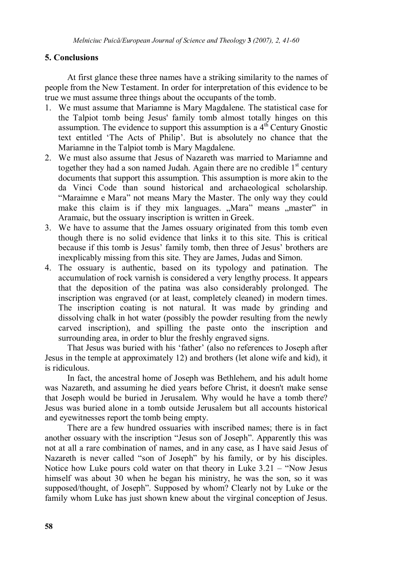## **5. Conclusions**

At first glance these three names have a striking similarity to the names of people from the New Testament. In order for interpretation of this evidence to be true we must assume three things about the occupants of the tomb.

- 1. We must assume that Mariamne is Mary Magdalene. The statistical case for the Talpiot tomb being Jesus' family tomb almost totally hinges on this assumption. The evidence to support this assumption is a  $4<sup>th</sup>$  Century Gnostic text entitled 'The Acts of Philip'. But is absolutely no chance that the Mariamne in the Talpiot tomb is Mary Magdalene.
- 2. We must also assume that Jesus of Nazareth was married to Mariamne and together they had a son named Judah. Again there are no credible  $1<sup>st</sup>$  century documents that support this assumption. This assumption is more akin to the da Vinci Code than sound historical and archaeological scholarship. "Maraimne e Mara" not means Mary the Master. The only way they could make this claim is if they mix languages. "Mara" means "master" in Aramaic, but the ossuary inscription is written in Greek.
- 3. We have to assume that the James ossuary originated from this tomb even though there is no solid evidence that links it to this site. This is critical because if this tomb is Jesus' family tomb, then three of Jesus' brothers are inexplicably missing from this site. They are James, Judas and Simon.
- 4. The ossuary is authentic, based on its typology and patination. The accumulation of rock varnish is considered a very lengthy process. It appears that the deposition of the patina was also considerably prolonged. The inscription was engraved (or at least, completely cleaned) in modern times. The inscription coating is not natural. It was made by grinding and dissolving chalk in hot water (possibly the powder resulting from the newly carved inscription), and spilling the paste onto the inscription and surrounding area, in order to blur the freshly engraved signs.

That Jesus was buried with his 'father' (also no references to Joseph after Jesus in the temple at approximately 12) and brothers (let alone wife and kid), it is ridiculous.

In fact, the ancestral home of Joseph was Bethlehem, and his adult home was Nazareth, and assuming he died years before Christ, it doesn't make sense that Joseph would be buried in Jerusalem. Why would he have a tomb there? Jesus was buried alone in a tomb outside Jerusalem but all accounts historical and eyewitnesses report the tomb being empty.

There are a few hundred ossuaries with inscribed names; there is in fact another ossuary with the inscription "Jesus son of Joseph". Apparently this was not at all a rare combination of names, and in any case, as I have said Jesus of Nazareth is never called "son of Joseph" by his family, or by his disciples. Notice how Luke pours cold water on that theory in Luke 3.21 – "Now Jesus himself was about 30 when he began his ministry, he was the son, so it was supposed/thought, of Joseph". Supposed by whom? Clearly not by Luke or the family whom Luke has just shown knew about the virginal conception of Jesus.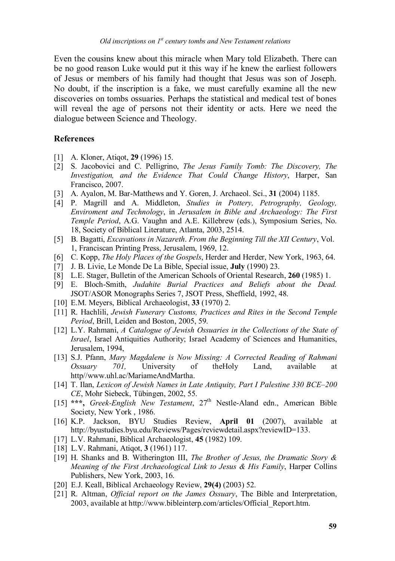Even the cousins knew about this miracle when Mary told Elizabeth. There can be no good reason Luke would put it this way if he knew the earliest followers of Jesus or members of his family had thought that Jesus was son of Joseph. No doubt, if the inscription is a fake, we must carefully examine all the new discoveries on tombs ossuaries. Perhaps the statistical and medical test of bones will reveal the age of persons not their identity or acts. Here we need the dialogue between Science and Theology.

#### **References**

- [1] A. Kloner, Atiqot, **29** (1996) 15.
- [2] S. Jacobovici and C. Pelligrino, *The Jesus Family Tomb: The Discovery, The Investigation, and the Evidence That Could Change History*, Harper, San Francisco, 2007.
- [3] A. Ayalon, M. Bar-Matthews and Y. Goren, J. Archaeol. Sci., **31** (2004) 1185.
- [4] P. Magrill and A. Middleton, *Studies in Pottery, Petrography, Geology, Enviroment and Technology*, in *Jerusalem in Bible and Archaeology: The First Temple Period*, A.G. Vaughn and A.E. Killebrew (eds.), Symposium Series, No. 18, Society of Biblical Literature, Atlanta, 2003, 2514.
- [5] B. Bagatti, *Excavations in Nazareth*. *From the Beginning Till the XII Century*, Vol. 1, Franciscan Printing Press, Jerusalem, 1969, 12.
- [6] C. Kopp, *The Holy Places of the Gospels*, Herder and Herder, New York, 1963, 64.
- [7] J. B. Livie, Le Monde De La Bible, Special issue, **July** (1990) 23.
- [8] L.E. Stager, Bulletin of the American Schools of Oriental Research, **260** (1985) 1.
- [9] E. Bloch-Smith, *Judahite Burial Practices and Beliefs about the Dead.*  JSOT/ASOR Monographs Series 7, JSOT Press, Sheffield, 1992, 48.
- [10] E.M. Meyers, Biblical Archaeologist, **33** (1970) 2.
- [11] R. Hachlili, *Jewish Funerary Customs, Practices and Rites in the Second Temple Period*, Brill, Leiden and Boston, 2005, 59.
- [12] L.Y. Rahmani, *A Catalogue of Jewish Ossuaries in the Collections of the State of Israel*, Israel Antiquities Authority; Israel Academy of Sciences and Humanities, Jerusalem, 1994,
- [13] S.J. Pfann, *Mary Magdalene is Now Missing: A Corrected Reading of Rahmani Ossuary 701*, University of theHoly Land, available http//www.uhl.ac/MariameAndMartha.
- [14] T. Ilan, *Lexicon of Jewish Names in Late Antiquity, Part I Palestine 330 BCE–200 CE*, Mohr Siebeck, Tübingen, 2002, 55.
- [15] **\*\*\*,** *Greek-English New Testament*, 27th Nestle-Aland edn., American Bible Society, New York , 1986.
- [16] K.P. Jackson, BYU Studies Review, **April 01** (2007), available at http://byustudies.byu.edu/Reviews/Pages/reviewdetail.aspx?reviewID=133.
- [17] L.V. Rahmani, Biblical Archaeologist, **45** (1982) 109.
- [18] L.V. Rahmani, Atiqot, **3** (1961) 117.
- [19] H. Shanks and B. Witherington III, *The Brother of Jesus, the Dramatic Story & Meaning of the First Archaeological Link to Jesus & His Family*, Harper Collins Publishers, New York, 2003, 16.
- [20] E.J. Keall, Biblical Archaeology Review, **29(4)** (2003) 52.
- [21] R. Altman, *Official report on the James Ossuary*, The Bible and Interpretation, 2003, available at http://www.bibleinterp.com/articles/Official\_Report.htm.